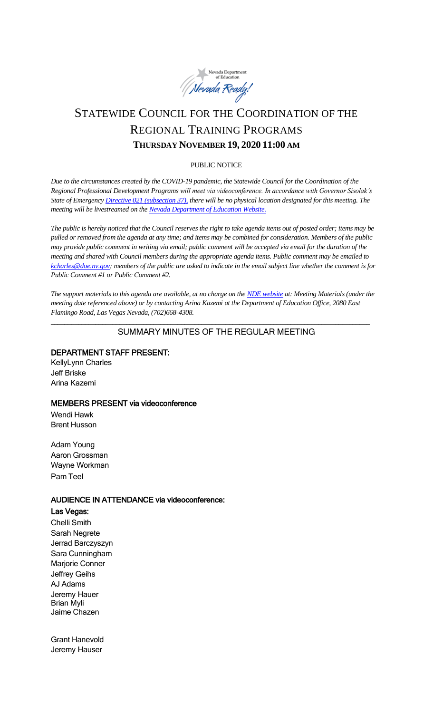

# STATEWIDE COUNCIL FOR THE COORDINATION OF THE REGIONAL TRAINING PROGRAMS **THURSDAY NOVEMBER 19, 2020 11:00 AM**

#### PUBLIC NOTICE

*Due to the circumstances created by the COVID-19 pandemic, the Statewide Council for the Coordination of the Regional Professional Development Programs will meet via videoconference. In accordance with Governor Sisolak's State of Emergenc[y Directive 021 \(subsection 37\),](http://gov.nv.gov/News/Emergency_Orders/2020/2020-05-28_-_COVID-19_Declaration_of_Emergency_Directive_021_-_Phase_Two_Reopening_Plan_(Attachments)/) there will be no physical location designated for this meeting. The meeting will be livestreamed on the [Nevada Department of Education Website.](http://www.doe.nv.gov/Boards_Commissions_Councils/Statewide_Council_Reg_Training/Statewide_Council_for_the_Coordination_of_Regional_Training_Programs/)*

*The public is hereby noticed that the Council reserves the right to take agenda items out of posted order; items may be pulled or removed from the agenda at any time; and items may be combined for consideration. Members of the public may provide public comment in writing via email; public comment will be accepted via email for the duration of the meeting and shared with Council members during the appropriate agenda items. Public comment may be emailed to [kcharles@doe.nv.gov;](mailto:kcharles@doe.nv.gov) members of the public are asked to indicate in the email subject line whether the comment is for Public Comment #1 or Public Comment #2.* 

*The support materials to this agenda are available, at no charge on th[e NDE website](http://www.doe.nv.gov/Boards_Commissions_Councils/Statewide_Council_Reg_Training/Statewide_Council_for_the_Coordination_of_Regional_Training_Programs/) at: Meeting Materials (under the meeting date referenced above) or by contacting Arina Kazemi at the Department of Education Office, 2080 East Flamingo Road, Las Vegas Nevada, (702)668-4308.* 

*\_\_\_\_\_\_\_\_\_\_\_\_\_\_\_\_\_\_\_\_\_\_\_\_\_\_\_\_\_\_\_\_\_\_\_\_\_\_\_\_\_\_\_\_\_\_\_\_\_\_\_\_\_\_\_\_\_\_\_\_\_\_\_\_\_\_\_\_\_\_\_\_\_\_\_\_\_\_\_\_\_\_\_\_\_\_\_\_\_\_\_\_\_*

# SUMMARY MINUTES OF THE REGULAR MEETING

## DEPARTMENT STAFF PRESENT:

KellyLynn Charles Jeff Briske Arina Kazemi

## MEMBERS PRESENT via videoconference

Wendi Hawk Brent Husson

Adam Young Aaron Grossman Wayne Workman Pam Teel

## AUDIENCE IN ATTENDANCE via videoconference:

Las Vegas:

Chelli Smith Sarah Negrete Jerrad Barczyszyn Sara Cunningham Marjorie Conner Jeffrey Geihs AJ Adams Jeremy Hauer Brian Myli Jaime Chazen

Grant Hanevold Jeremy Hauser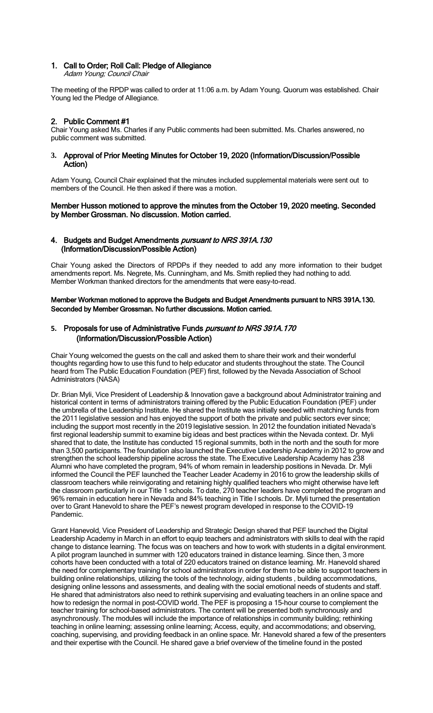#### 1. Call to Order; Roll Call: Pledge of Allegiance

Adam Young; Council Chair

The meeting of the RPDP was called to order at 11:06 a.m. by Adam Young. Quorum was established. Chair Young led the Pledge of Allegiance.

#### 2. Public Comment #1

Chair Young asked Ms. Charles if any Public comments had been submitted. Ms. Charles answered, no public comment was submitted.

#### **3.** Approval of Prior Meeting Minutes for October 19, 2020 (Information/Discussion/Possible Action)

Adam Young, Council Chair explained that the minutes included supplemental materials were sent out to members of the Council. He then asked if there was a motion.

#### Member Husson motioned to approve the minutes from the October 19, 2020 meeting. Seconded by Member Grossman. No discussion. Motion carried.

#### 4. Budgets and Budget Amendments *pursuant to NRS 391A.130* (Information/Discussion/Possible Action)

Chair Young asked the Directors of RPDPs if they needed to add any more information to their budget amendments report. Ms. Negrete, Ms. Cunningham, and Ms. Smith replied they had nothing to add. Member Workman thanked directors for the amendments that were easy-to-read.

#### Member Workman motioned to approve the Budgets and Budget Amendments pursuant to NRS 391A.130. Seconded by Member Grossman. No further discussions. Motion carried.

## **5.** Proposals for use of Administrative Funds pursuant to NRS 391A.170 (Information/Discussion/Possible Action)

Chair Young welcomed the guests on the call and asked them to share their work and their wonderful thoughts regarding how to use this fund to help educator and students throughout the state. The Council heard from The Public Education Foundation (PEF) first, followed by the Nevada Association of School Administrators (NASA)

Dr. Brian Myli, Vice President of Leadership & Innovation gave a background about Administrator training and historical content in terms of administrators training offered by the Public Education Foundation (PEF) under the umbrella of the Leadership Institute. He shared the Institute was initially seeded with matching funds from the 2011 legislative session and has enjoyed the support of both the private and public sectors ever since; including the support most recently in the 2019 legislative session. In 2012 the foundation initiated Nevada's first regional leadership summit to examine big ideas and best practices within the Nevada context. Dr. Myli shared that to date, the Institute has conducted 15 regional summits, both in the north and the south for more than 3,500 participants. The foundation also launched the Executive Leadership Academy in 2012 to grow and strengthen the school leadership pipeline across the state. The Executive Leadership Academy has 238 Alumni who have completed the program, 94% of whom remain in leadership positions in Nevada. Dr. Myli informed the Council the PEF launched the Teacher Leader Academy in 2016 to grow the leadership skills of classroom teachers while reinvigorating and retaining highly qualified teachers who might otherwise have left the classroom particularly in our Title 1 schools. To date, 270 teacher leaders have completed the program and 96% remain in education here in Nevada and 84% teaching in Title I schools. Dr. Myli turned the presentation over to Grant Hanevold to share the PEF's newest program developed in response to the COVID-19 Pandemic.

Grant Hanevold, Vice President of Leadership and Strategic Design shared that PEF launched the Digital Leadership Academy in March in an effort to equip teachers and administrators with skills to deal with the rapid change to distance learning. The focus was on teachers and how to work with students in a digital environment. A pilot program launched in summer with 120 educators trained in distance learning. Since then, 3 more cohorts have been conducted with a total of 220 educators trained on distance learning. Mr. Hanevold shared the need for complementary training for school administrators in order for them to be able to support teachers in building online relationships, utilizing the tools of the technology, aiding students , building accommodations, designing online lessons and assessments, and dealing with the social emotional needs of students and staff. He shared that administrators also need to rethink supervising and evaluating teachers in an online space and how to redesign the normal in post-COVID world. The PEF is proposing a 15-hour course to complement the teacher training for school-based administrators. The content will be presented both synchronously and asynchronously. The modules will include the importance of relationships in community building; rethinking teaching in online learning; assessing online learning; Access, equity, and accommodations; and observing, coaching, supervising, and providing feedback in an online space. Mr. Hanevold shared a few of the presenters and their expertise with the Council. He shared gave a brief overview of the timeline found in the posted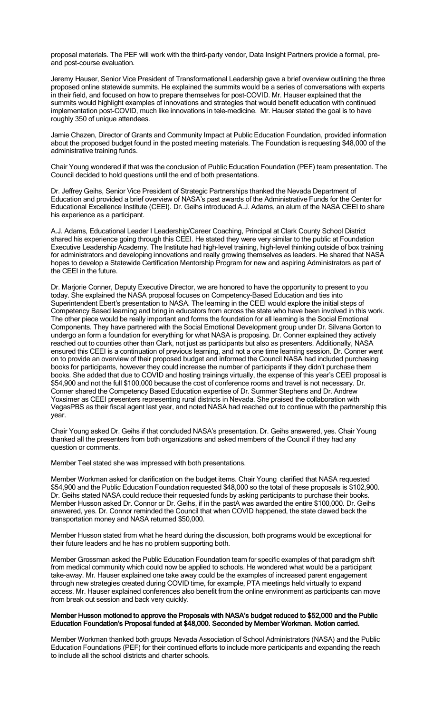proposal materials. The PEF will work with the third-party vendor, Data Insight Partners provide a formal, preand post-course evaluation.

Jeremy Hauser, Senior Vice President of Transformational Leadership gave a brief overview outlining the three proposed online statewide summits. He explained the summits would be a series of conversations with experts in their field, and focused on how to prepare themselves for post-COVID. Mr. Hauser explained that the summits would highlight examples of innovations and strategies that would benefit education with continued implementation post-COVID, much like innovations in tele-medicine. Mr. Hauser stated the goal is to have roughly 350 of unique attendees.

Jamie Chazen, Director of Grants and Community Impact at Public Education Foundation, provided information about the proposed budget found in the posted meeting materials. The Foundation is requesting \$48,000 of the administrative training funds.

Chair Young wondered if that was the conclusion of Public Education Foundation (PEF) team presentation. The Council decided to hold questions until the end of both presentations.

Dr. Jeffrey Geihs, Senior Vice President of Strategic Partnerships thanked the Nevada Department of Education and provided a brief overview of NASA's past awards of the Administrative Funds for the Center for Educational Excellence Institute (CEEI). Dr. Geihs introduced A.J. Adams, an alum of the NASA CEEI to share his experience as a participant.

A.J. Adams, Educational Leader I Leadership/Career Coaching, Principal at Clark County School District shared his experience going through this CEEI. He stated they were very similar to the public at Foundation Executive Leadership Academy. The Institute had high-level training, high-level thinking outside of box training for administrators and developing innovations and really growing themselves as leaders. He shared that NASA hopes to develop a Statewide Certification Mentorship Program for new and aspiring Administrators as part of the CEEI in the future.

Dr. Marjorie Conner, Deputy Executive Director, we are honored to have the opportunity to present to you today. She explained the NASA proposal focuses on Competency-Based Education and ties into Superintendent Ebert's presentation to NASA. The learning in the CEEI would explore the initial steps of Competency Based learning and bring in educators from across the state who have been involved in this work. The other piece would be really important and forms the foundation for all learning is the Social Emotional Components. They have partnered with the Social Emotional Development group under Dr. Silvana Gorton to undergo an form a foundation for everything for what NASA is proposing. Dr. Conner explained they actively reached out to counties other than Clark, not just as participants but also as presenters. Additionally, NASA ensured this CEEI is a continuation of previous learning, and not a one time learning session. Dr. Conner went on to provide an overview of their proposed budget and informed the Council NASA had included purchasing books for participants, however they could increase the number of participants if they didn't purchase them books. She added that due to COVID and hosting trainings virtually, the expense of this year's CEEI proposal is \$54,900 and not the full \$100,000 because the cost of conference rooms and travel is not necessary. Dr. Conner shared the Competency Based Education expertise of Dr. Summer Stephens and Dr. Andrew Yoxsimer as CEEI presenters representing rural districts in Nevada. She praised the collaboration with VegasPBS as their fiscal agent last year, and noted NASA had reached out to continue with the partnership this year.

Chair Young asked Dr. Geihs if that concluded NASA's presentation. Dr. Geihs answered, yes. Chair Young thanked all the presenters from both organizations and asked members of the Council if they had any question or comments.

Member Teel stated she was impressed with both presentations.

Member Workman asked for clarification on the budget items. Chair Young clarified that NASA requested \$54,900 and the Public Education Foundation requested \$48,000 so the total of these proposals is \$102,900. Dr. Geihs stated NASA could reduce their requested funds by asking participants to purchase their books. Member Husson asked Dr. Connor or Dr. Geihs, if in the pastA was awarded the entire \$100,000. Dr. Geihs answered, yes. Dr. Connor reminded the Council that when COVID happened, the state clawed back the transportation money and NASA returned \$50,000.

Member Husson stated from what he heard during the discussion, both programs would be exceptional for their future leaders and he has no problem supporting both.

Member Grossman asked the Public Education Foundation team for specific examples of that paradigm shift from medical community which could now be applied to schools. He wondered what would be a participant take-away. Mr. Hauser explained one take away could be the examples of increased parent engagement through new strategies created during COVID time, for example, PTA meetings held virtually to expand access. Mr. Hauser explained conferences also benefit from the online environment as participants can move from break out session and back very quickly.

#### Member Husson motioned to approve the Proposals with NASA's budget reduced to \$52,000 and the Public Education Foundation's Proposal funded at \$48,000. Seconded by Member Workman. Motion carried.

Member Workman thanked both groups Nevada Association of School Administrators (NASA) and the Public Education Foundations (PEF) for their continued efforts to include more participants and expanding the reach to include all the school districts and charter schools.